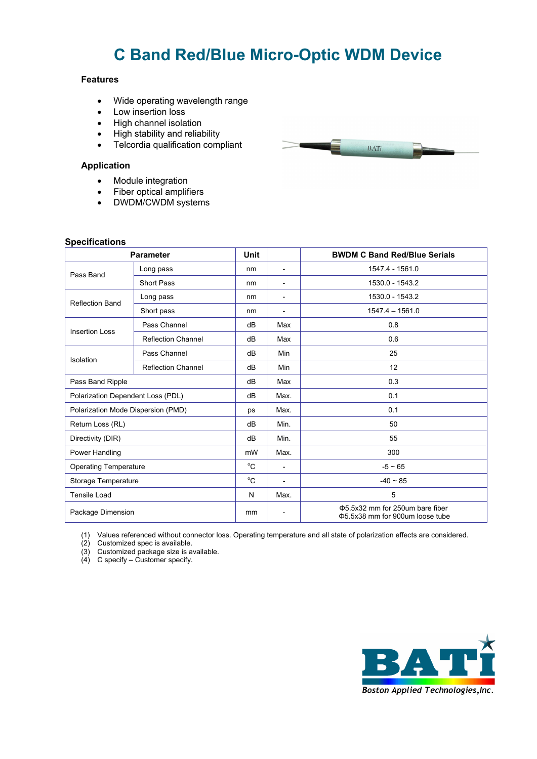# **C Band Red/Blue Micro-Optic WDM Device**

#### **Features**

- Wide operating wavelength range
- Low insertion loss
- High channel isolation
- High stability and reliability
- Telcordia qualification compliant

#### **Application**

- Module integration
- Fiber optical amplifiers
- DWDM/CWDM systems

### **Specifications**

| <b>Parameter</b>                   |                           | <b>Unit</b> |                          | <b>BWDM C Band Red/Blue Serials</b>                                 |
|------------------------------------|---------------------------|-------------|--------------------------|---------------------------------------------------------------------|
| Pass Band                          | Long pass                 | nm          | $\overline{\phantom{a}}$ | 1547.4 - 1561.0                                                     |
|                                    | <b>Short Pass</b>         | nm          | $\overline{a}$           | 1530.0 - 1543.2                                                     |
| <b>Reflection Band</b>             | Long pass                 | nm          | $\overline{a}$           | 1530.0 - 1543.2                                                     |
|                                    | Short pass                | nm          | $\overline{\phantom{a}}$ | $1547.4 - 1561.0$                                                   |
| <b>Insertion Loss</b>              | Pass Channel              | dB          | Max                      | 0.8                                                                 |
|                                    | <b>Reflection Channel</b> | dB          | Max                      | 0.6                                                                 |
| Isolation                          | Pass Channel              | dB          | Min                      | 25                                                                  |
|                                    | <b>Reflection Channel</b> | dB          | Min                      | 12                                                                  |
| Pass Band Ripple                   |                           | dB          | Max                      | 0.3                                                                 |
| Polarization Dependent Loss (PDL)  |                           | dB          | Max.                     | 0.1                                                                 |
| Polarization Mode Dispersion (PMD) |                           | ps          | Max.                     | 0.1                                                                 |
| Return Loss (RL)                   |                           | dB          | Min.                     | 50                                                                  |
| Directivity (DIR)                  |                           | dB          | Min.                     | 55                                                                  |
| Power Handling                     |                           | mW          | Max.                     | 300                                                                 |
| <b>Operating Temperature</b>       |                           | °C          | $\overline{\phantom{0}}$ | $-5 \sim 65$                                                        |
| Storage Temperature                |                           | $^{\circ}C$ | $\overline{a}$           | $-40 \sim 85$                                                       |
| <b>Tensile Load</b>                |                           | N           | Max.                     | 5                                                                   |
| Package Dimension                  |                           | mm          |                          | Φ5.5x32 mm for 250um bare fiber<br>\$5.5x38 mm for 900um loose tube |

(1) Values referenced without connector loss. Operating temperature and all state of polarization effects are considered.

(2) Customized spec is available.

(3) Customized package size is available.

(4) C specify – Customer specify.